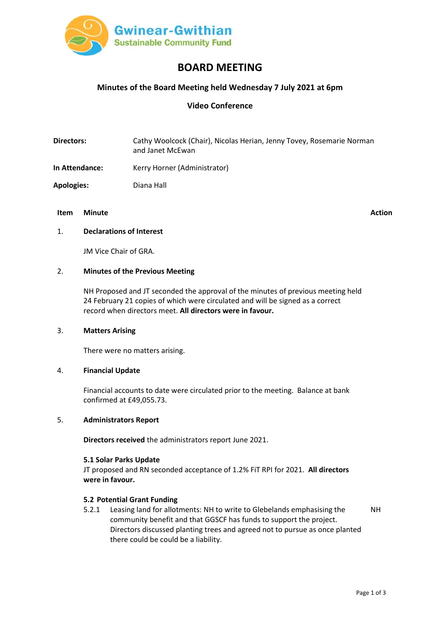

# **BOARD MEETING**

# **Minutes of the Board Meeting held Wednesday 7 July 2021 at 6pm**

# **Video Conference**

**Directors:** Cathy Woolcock (Chair), Nicolas Herian, Jenny Tovey, Rosemarie Norman and Janet McEwan

- **In Attendance:** Kerry Horner (Administrator)
- **Apologies:** Diana Hall

# **Item Minute Action**

#### 1. **Declarations of Interest**

JM Vice Chair of GRA.

## 2. **Minutes of the Previous Meeting**

NH Proposed and JT seconded the approval of the minutes of previous meeting held 24 February 21 copies of which were circulated and will be signed as a correct record when directors meet. **All directors were in favour.**

#### 3. **Matters Arising**

There were no matters arising.

### 4. **Financial Update**

Financial accounts to date were circulated prior to the meeting. Balance at bank confirmed at £49,055.73.

## 5. **Administrators Report**

**Directors received** the administrators report June 2021.

#### **5.1 Solar Parks Update**

JT proposed and RN seconded acceptance of 1.2% FiT RPI for 2021. **All directors were in favour.**

## **5.2 Potential Grant Funding**

5.2.1 Leasing land for allotments: NH to write to Glebelands emphasising the community benefit and that GGSCF has funds to support the project. Directors discussed planting trees and agreed not to pursue as once planted there could be could be a liability. NH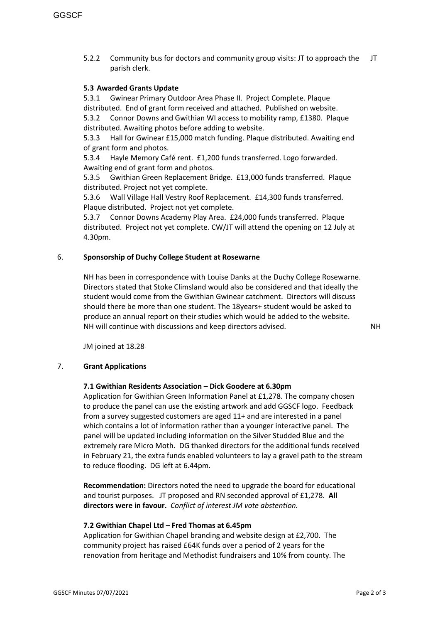5.2.2 Community bus for doctors and community group visits: JT to approach the parish clerk. JT

## **5.3 Awarded Grants Update**

5.3.1 Gwinear Primary Outdoor Area Phase II. Project Complete. Plaque distributed. End of grant form received and attached. Published on website. 5.3.2 Connor Downs and Gwithian WI access to mobility ramp, £1380. Plaque distributed. Awaiting photos before adding to website.

5.3.3 Hall for Gwinear £15,000 match funding. Plaque distributed. Awaiting end of grant form and photos.

5.3.4 Hayle Memory Café rent. £1,200 funds transferred. Logo forwarded. Awaiting end of grant form and photos.

5.3.5 Gwithian Green Replacement Bridge. £13,000 funds transferred. Plaque distributed. Project not yet complete.

5.3.6 Wall Village Hall Vestry Roof Replacement. £14,300 funds transferred. Plaque distributed. Project not yet complete.

5.3.7 Connor Downs Academy Play Area. £24,000 funds transferred. Plaque distributed. Project not yet complete. CW/JT will attend the opening on 12 July at 4.30pm.

## 6. **Sponsorship of Duchy College Student at Rosewarne**

NH has been in correspondence with Louise Danks at the Duchy College Rosewarne. Directors stated that Stoke Climsland would also be considered and that ideally the student would come from the Gwithian Gwinear catchment. Directors will discuss should there be more than one student. The 18years+ student would be asked to produce an annual report on their studies which would be added to the website. NH will continue with discussions and keep directors advised.

NH

JM joined at 18.28

## 7. **Grant Applications**

## **7.1 Gwithian Residents Association – Dick Goodere at 6.30pm**

Application for Gwithian Green Information Panel at £1,278. The company chosen to produce the panel can use the existing artwork and add GGSCF logo. Feedback from a survey suggested customers are aged 11+ and are interested in a panel which contains a lot of information rather than a younger interactive panel. The panel will be updated including information on the Silver Studded Blue and the extremely rare Micro Moth. DG thanked directors for the additional funds received in February 21, the extra funds enabled volunteers to lay a gravel path to the stream to reduce flooding. DG left at 6.44pm.

**Recommendation:** Directors noted the need to upgrade the board for educational and tourist purposes. JT proposed and RN seconded approval of £1,278. **All directors were in favour.** *Conflict of interest JM vote abstention.*

## **7.2 Gwithian Chapel Ltd – Fred Thomas at 6.45pm**

Application for Gwithian Chapel branding and website design at £2,700. The community project has raised £64K funds over a period of 2 years for the renovation from heritage and Methodist fundraisers and 10% from county. The